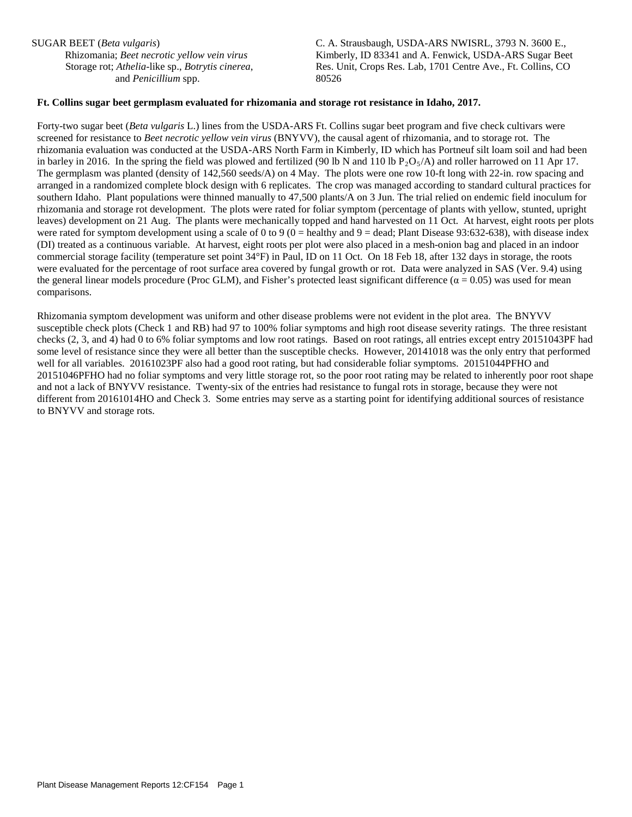SUGAR BEET (*Beta vulgaris*)

Rhizomania; *Beet necrotic yellow vein virus* Storage rot; *Athelia*-like sp., *Botrytis cinerea*, and *Penicillium* spp.

C. A. Strausbaugh, USDA-ARS NWISRL, 3793 N. 3600 E., Kimberly, ID 83341 and A. Fenwick, USDA-ARS Sugar Beet Res. Unit, Crops Res. Lab, 1701 Centre Ave., Ft. Collins, CO 80526

## **Ft. Collins sugar beet germplasm evaluated for rhizomania and storage rot resistance in Idaho, 2017.**

Forty-two sugar beet (*Beta vulgaris* L.) lines from the USDA-ARS Ft. Collins sugar beet program and five check cultivars were screened for resistance to *Beet necrotic yellow vein virus* (BNYVV), the causal agent of rhizomania, and to storage rot. The rhizomania evaluation was conducted at the USDA-ARS North Farm in Kimberly, ID which has Portneuf silt loam soil and had been in barley in 2016. In the spring the field was plowed and fertilized (90 lb N and 110 lb  $P_2O_5/A$ ) and roller harrowed on 11 Apr 17. The germplasm was planted (density of 142,560 seeds/A) on 4 May. The plots were one row 10-ft long with 22-in. row spacing and arranged in a randomized complete block design with 6 replicates. The crop was managed according to standard cultural practices for southern Idaho. Plant populations were thinned manually to 47,500 plants/A on 3 Jun. The trial relied on endemic field inoculum for rhizomania and storage rot development. The plots were rated for foliar symptom (percentage of plants with yellow, stunted, upright leaves) development on 21 Aug. The plants were mechanically topped and hand harvested on 11 Oct. At harvest, eight roots per plots were rated for symptom development using a scale of 0 to 9 ( $\dot{0}$  = healthy and 9 = dead; Plant Disease 93:632-638), with disease index (DI) treated as a continuous variable. At harvest, eight roots per plot were also placed in a mesh-onion bag and placed in an indoor commercial storage facility (temperature set point 34°F) in Paul, ID on 11 Oct. On 18 Feb 18, after 132 days in storage, the roots were evaluated for the percentage of root surface area covered by fungal growth or rot. Data were analyzed in SAS (Ver. 9.4) using the general linear models procedure (Proc GLM), and Fisher's protected least significant difference ( $\alpha$  = 0.05) was used for mean comparisons.

Rhizomania symptom development was uniform and other disease problems were not evident in the plot area. The BNYVV susceptible check plots (Check 1 and RB) had 97 to 100% foliar symptoms and high root disease severity ratings. The three resistant checks (2, 3, and 4) had 0 to 6% foliar symptoms and low root ratings. Based on root ratings, all entries except entry 20151043PF had some level of resistance since they were all better than the susceptible checks. However, 20141018 was the only entry that performed well for all variables. 20161023PF also had a good root rating, but had considerable foliar symptoms. 20151044PFHO and 20151046PFHO had no foliar symptoms and very little storage rot, so the poor root rating may be related to inherently poor root shape and not a lack of BNYVV resistance. Twenty-six of the entries had resistance to fungal rots in storage, because they were not different from 20161014HO and Check 3. Some entries may serve as a starting point for identifying additional sources of resistance to BNYVV and storage rots.